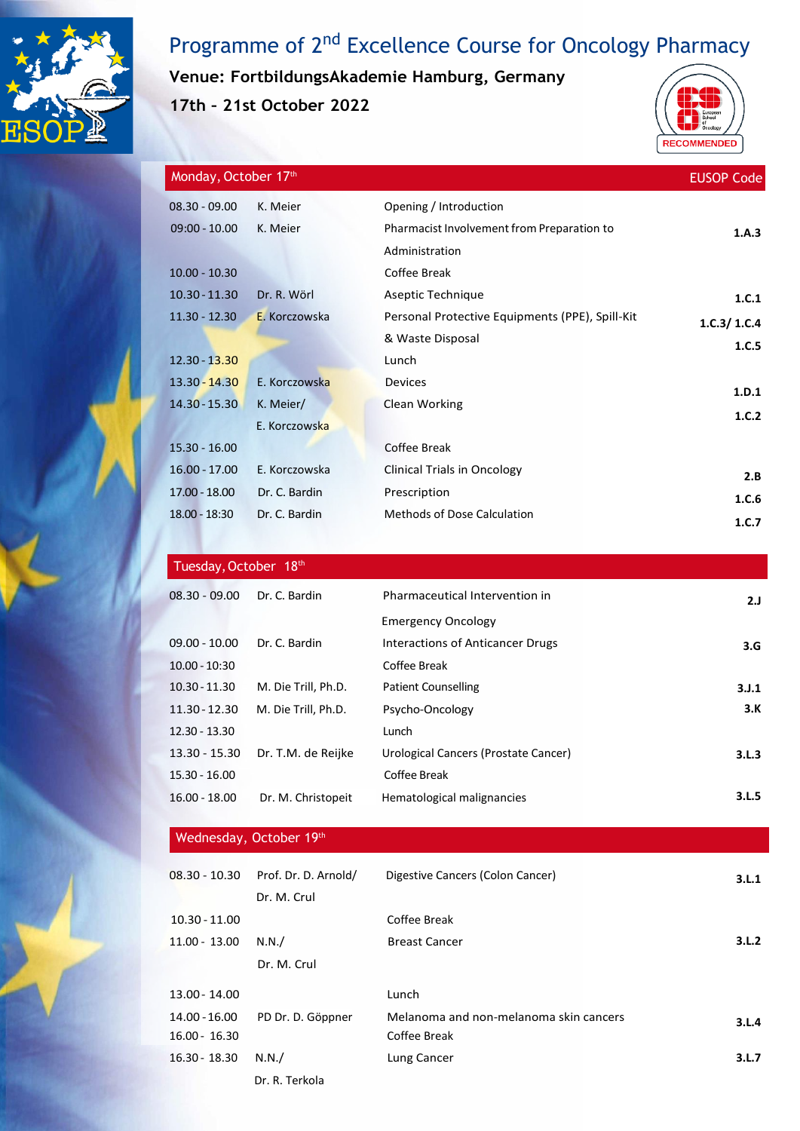

# Programme of 2<sup>nd</sup> Excellence Course for Oncology Pharmacy

**Venue: FortbildungsAkademie Hamburg, Germany**

**17th – 21st October 2022**



| Monday, October 17th |               |                                                 | <b>EUSOP Code</b> |
|----------------------|---------------|-------------------------------------------------|-------------------|
| $08.30 - 09.00$      | K. Meier      | Opening / Introduction                          |                   |
| $09:00 - 10.00$      | K. Meier      | Pharmacist Involvement from Preparation to      | 1.A.3             |
|                      |               | Administration                                  |                   |
| $10.00 - 10.30$      |               | Coffee Break                                    |                   |
| $10.30 - 11.30$      | Dr. R. Wörl   | Aseptic Technique                               | 1.C.1             |
| $11.30 - 12.30$      | E. Korczowska | Personal Protective Equipments (PPE), Spill-Kit | 1.C.3/1.C.4       |
|                      |               | & Waste Disposal                                | 1.C.5             |
| $12.30 - 13.30$      |               | Lunch                                           |                   |
| $13.30 - 14.30$      | E. Korczowska | Devices                                         | 1.D.1             |
| $14.30 - 15.30$      | K. Meier/     | Clean Working                                   | 1.C.2             |
|                      | E. Korczowska |                                                 |                   |
| $15.30 - 16.00$      |               | Coffee Break                                    |                   |
| $16.00 - 17.00$      | E. Korczowska | <b>Clinical Trials in Oncology</b>              | 2.B               |
| $17.00 - 18.00$      | Dr. C. Bardin | Prescription                                    | 1.C.6             |
| $18.00 - 18:30$      | Dr. C. Bardin | Methods of Dose Calculation                     | 1.C.7             |
|                      |               |                                                 |                   |

#### Tuesday, October 18th

| $08.30 - 09.00$ | Dr. C. Bardin       | Pharmaceutical Intervention in       | 2.J   |
|-----------------|---------------------|--------------------------------------|-------|
|                 |                     | <b>Emergency Oncology</b>            |       |
| $09.00 - 10.00$ | Dr. C. Bardin       | Interactions of Anticancer Drugs     | 3.G   |
| $10.00 - 10:30$ |                     | Coffee Break                         |       |
| $10.30 - 11.30$ | M. Die Trill, Ph.D. | <b>Patient Counselling</b>           | 3.J.1 |
| $11.30 - 12.30$ | M. Die Trill, Ph.D. | Psycho-Oncology                      | 3.K   |
| $12.30 - 13.30$ |                     | Lunch                                |       |
| $13.30 - 15.30$ | Dr. T.M. de Reijke  | Urological Cancers (Prostate Cancer) | 3.L.3 |
| $15.30 - 16.00$ |                     | Coffee Break                         |       |
| $16.00 - 18.00$ | Dr. M. Christopeit  | Hematological malignancies           | 3.L.5 |

### Wednesday, October 19th

| $08.30 - 10.30$ | Prof. Dr. D. Arnold/ | Digestive Cancers (Colon Cancer)       | 3.L.1 |
|-----------------|----------------------|----------------------------------------|-------|
|                 | Dr. M. Crul          |                                        |       |
| $10.30 - 11.00$ |                      | Coffee Break                           |       |
| $11.00 - 13.00$ | N.N./                | <b>Breast Cancer</b>                   | 3.L.2 |
|                 | Dr. M. Crul          |                                        |       |
| 13.00 - 14.00   |                      | Lunch                                  |       |
| 14.00 - 16.00   | PD Dr. D. Göppner    | Melanoma and non-melanoma skin cancers | 3.L.4 |
| $16.00 - 16.30$ |                      | Coffee Break                           |       |
| $16.30 - 18.30$ | N.N./                | Lung Cancer                            | 3.L.7 |
|                 | Dr. R. Terkola       |                                        |       |